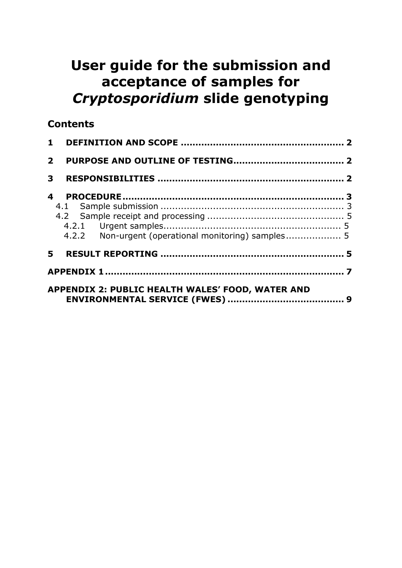# **User guide for the submission and acceptance of samples for**  *Cryptosporidium* **slide genotyping**

### **Contents**

| $\overline{2}$ |                                                         |  |  |  |  |  |  |  |  |
|----------------|---------------------------------------------------------|--|--|--|--|--|--|--|--|
| 3              |                                                         |  |  |  |  |  |  |  |  |
| 4              |                                                         |  |  |  |  |  |  |  |  |
|                |                                                         |  |  |  |  |  |  |  |  |
|                |                                                         |  |  |  |  |  |  |  |  |
|                | <b>APPENDIX 2: PUBLIC HEALTH WALES' FOOD, WATER AND</b> |  |  |  |  |  |  |  |  |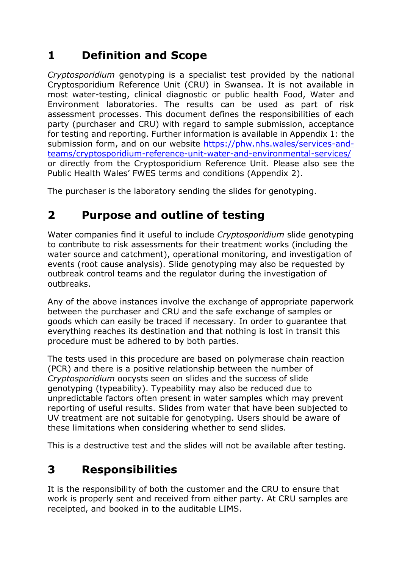# <span id="page-1-0"></span>**1 Definition and Scope**

*Cryptosporidium* genotyping is a specialist test provided by the national Cryptosporidium Reference Unit (CRU) in Swansea. It is not available in most water-testing, clinical diagnostic or public health Food, Water and Environment laboratories. The results can be used as part of risk assessment processes. This document defines the responsibilities of each party (purchaser and CRU) with regard to sample submission, acceptance for testing and reporting. Further information is available in Appendix 1: the submission form, and on our website [https://phw.nhs.wales/services-and](https://phw.nhs.wales/services-and-teams/cryptosporidium-reference-unit-water-and-environmental-services/)[teams/cryptosporidium-reference-unit-water-and-environmental-services/](https://phw.nhs.wales/services-and-teams/cryptosporidium-reference-unit-water-and-environmental-services/) or directly from the Cryptosporidium Reference Unit. Please also see the Public Health Wales' FWES terms and conditions (Appendix 2).

<span id="page-1-1"></span>The purchaser is the laboratory sending the slides for genotyping.

# **2 Purpose and outline of testing**

Water companies find it useful to include *Cryptosporidium* slide genotyping to contribute to risk assessments for their treatment works (including the water source and catchment), operational monitoring, and investigation of events (root cause analysis). Slide genotyping may also be requested by outbreak control teams and the regulator during the investigation of outbreaks.

Any of the above instances involve the exchange of appropriate paperwork between the purchaser and CRU and the safe exchange of samples or goods which can easily be traced if necessary. In order to guarantee that everything reaches its destination and that nothing is lost in transit this procedure must be adhered to by both parties.

The tests used in this procedure are based on polymerase chain reaction (PCR) and there is a positive relationship between the number of *Cryptosporidium* oocysts seen on slides and the success of slide genotyping (typeability). Typeability may also be reduced due to unpredictable factors often present in water samples which may prevent reporting of useful results. Slides from water that have been subjected to UV treatment are not suitable for genotyping. Users should be aware of these limitations when considering whether to send slides.

<span id="page-1-2"></span>This is a destructive test and the slides will not be available after testing.

# **3 Responsibilities**

It is the responsibility of both the customer and the CRU to ensure that work is properly sent and received from either party. At CRU samples are receipted, and booked in to the auditable LIMS.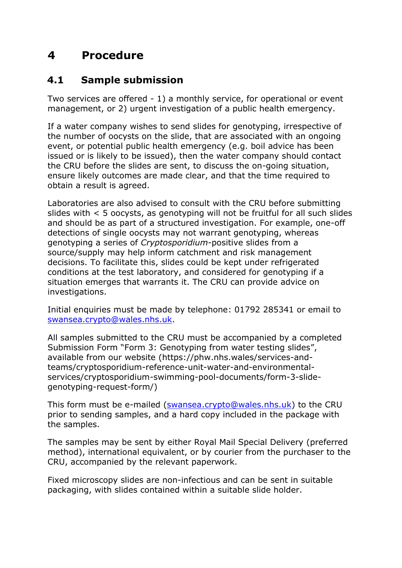## <span id="page-2-0"></span>**4 Procedure**

### <span id="page-2-1"></span>**4.1 Sample submission**

Two services are offered - 1) a monthly service, for operational or event management, or 2) urgent investigation of a public health emergency.

If a water company wishes to send slides for genotyping, irrespective of the number of oocysts on the slide, that are associated with an ongoing event, or potential public health emergency (e.g. boil advice has been issued or is likely to be issued), then the water company should contact the CRU before the slides are sent, to discuss the on-going situation, ensure likely outcomes are made clear, and that the time required to obtain a result is agreed.

Laboratories are also advised to consult with the CRU before submitting slides with < 5 oocysts, as genotyping will not be fruitful for all such slides and should be as part of a structured investigation. For example, one-off detections of single oocysts may not warrant genotyping, whereas genotyping a series of *Cryptosporidium*-positive slides from a source/supply may help inform catchment and risk management decisions. To facilitate this, slides could be kept under refrigerated conditions at the test laboratory, and considered for genotyping if a situation emerges that warrants it. The CRU can provide advice on investigations.

Initial enquiries must be made by telephone: 01792 285341 or email to [swansea.crypto@wales.nhs.uk.](mailto:swansea.crypto@wales.nhs.uk)

All samples submitted to the CRU must be accompanied by a completed Submission Form "Form 3: Genotyping from water testing slides", available from our website (https://phw.nhs.wales/services-andteams/cryptosporidium-reference-unit-water-and-environmentalservices/cryptosporidium-swimming-pool-documents/form-3-slidegenotyping-request-form/)

This form must be e-mailed [\(swansea.crypto@wales.nhs.uk\)](mailto:swansea.crypto@wales.nhs.uk) to the CRU prior to sending samples, and a hard copy included in the package with the samples.

The samples may be sent by either Royal Mail Special Delivery (preferred method), international equivalent, or by courier from the purchaser to the CRU, accompanied by the relevant paperwork.

Fixed microscopy slides are non-infectious and can be sent in suitable packaging, with slides contained within a suitable slide holder.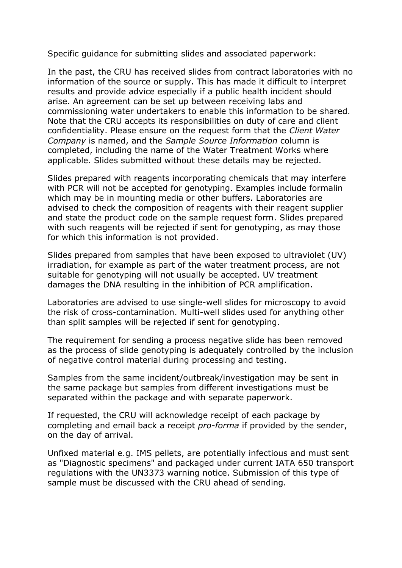Specific guidance for submitting slides and associated paperwork:

In the past, the CRU has received slides from contract laboratories with no information of the source or supply. This has made it difficult to interpret results and provide advice especially if a public health incident should arise. An agreement can be set up between receiving labs and commissioning water undertakers to enable this information to be shared. Note that the CRU accepts its responsibilities on duty of care and client confidentiality. Please ensure on the request form that the *Client Water Company* is named, and the *Sample Source Information* column is completed, including the name of the Water Treatment Works where applicable. Slides submitted without these details may be rejected.

Slides prepared with reagents incorporating chemicals that may interfere with PCR will not be accepted for genotyping. Examples include formalin which may be in mounting media or other buffers. Laboratories are advised to check the composition of reagents with their reagent supplier and state the product code on the sample request form. Slides prepared with such reagents will be rejected if sent for genotyping, as may those for which this information is not provided.

Slides prepared from samples that have been exposed to ultraviolet (UV) irradiation, for example as part of the water treatment process, are not suitable for genotyping will not usually be accepted. UV treatment damages the DNA resulting in the inhibition of PCR amplification.

Laboratories are advised to use single-well slides for microscopy to avoid the risk of cross-contamination. Multi-well slides used for anything other than split samples will be rejected if sent for genotyping.

The requirement for sending a process negative slide has been removed as the process of slide genotyping is adequately controlled by the inclusion of negative control material during processing and testing.

Samples from the same incident/outbreak/investigation may be sent in the same package but samples from different investigations must be separated within the package and with separate paperwork.

If requested, the CRU will acknowledge receipt of each package by completing and email back a receipt *pro-forma* if provided by the sender, on the day of arrival.

Unfixed material e.g. IMS pellets, are potentially infectious and must sent as "Diagnostic specimens" and packaged under current IATA 650 transport regulations with the UN3373 warning notice. Submission of this type of sample must be discussed with the CRU ahead of sending.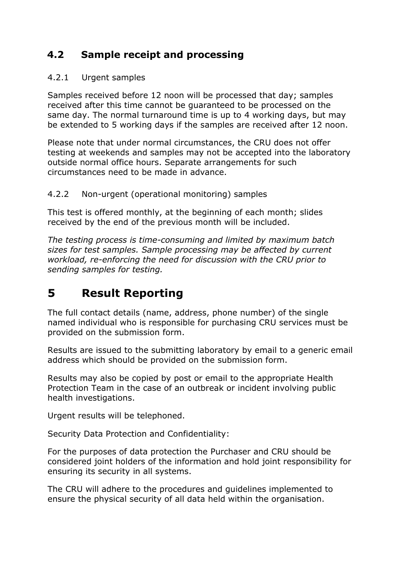### <span id="page-4-0"></span>**4.2 Sample receipt and processing**

### <span id="page-4-1"></span>4.2.1 Urgent samples

Samples received before 12 noon will be processed that day; samples received after this time cannot be guaranteed to be processed on the same day. The normal turnaround time is up to 4 working days, but may be extended to 5 working days if the samples are received after 12 noon.

Please note that under normal circumstances, the CRU does not offer testing at weekends and samples may not be accepted into the laboratory outside normal office hours. Separate arrangements for such circumstances need to be made in advance.

### <span id="page-4-2"></span>4.2.2 Non-urgent (operational monitoring) samples

This test is offered monthly, at the beginning of each month; slides received by the end of the previous month will be included.

*The testing process is time-consuming and limited by maximum batch sizes for test samples. Sample processing may be affected by current workload, re-enforcing the need for discussion with the CRU prior to sending samples for testing.*

## <span id="page-4-3"></span>**5 Result Reporting**

The full contact details (name, address, phone number) of the single named individual who is responsible for purchasing CRU services must be provided on the submission form.

Results are issued to the submitting laboratory by email to a generic email address which should be provided on the submission form.

Results may also be copied by post or email to the appropriate Health Protection Team in the case of an outbreak or incident involving public health investigations.

Urgent results will be telephoned.

Security Data Protection and Confidentiality:

For the purposes of data protection the Purchaser and CRU should be considered joint holders of the information and hold joint responsibility for ensuring its security in all systems.

The CRU will adhere to the procedures and guidelines implemented to ensure the physical security of all data held within the organisation.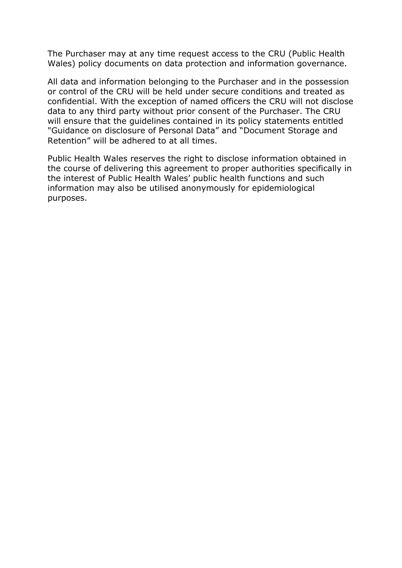The Purchaser may at any time request access to the CRU (Public Health Wales) policy documents on data protection and information governance.

All data and information belonging to the Purchaser and in the possession or control of the CRU will be held under secure conditions and treated as confidential. With the exception of named officers the CRU will not disclose data to any third party without prior consent of the Purchaser. The CRU will ensure that the guidelines contained in its policy statements entitled "Guidance on disclosure of Personal Data" and "Document Storage and Retention" will be adhered to at all times.

Public Health Wales reserves the right to disclose information obtained in the course of delivering this agreement to proper authorities specifically in the interest of Public Health Wales' public health functions and such information may also be utilised anonymously for epidemiological purposes.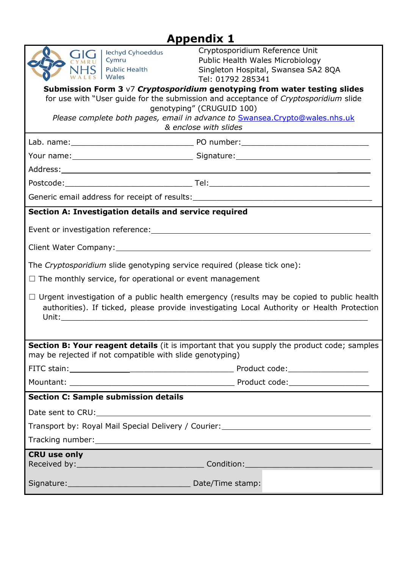# **Appendix 1**

<span id="page-6-0"></span>

| <b>Iechyd Cyhoeddus</b><br>Cymru<br><b>Public Health</b><br>Wales                                                                                                                              | Cryptosporidium Reference Unit<br>Public Health Wales Microbiology<br>Singleton Hospital, Swansea SA2 8QA<br>Tel: 01792 285341 |  |  |  |  |  |  |  |  |  |  |
|------------------------------------------------------------------------------------------------------------------------------------------------------------------------------------------------|--------------------------------------------------------------------------------------------------------------------------------|--|--|--|--|--|--|--|--|--|--|
| Submission Form 3 $\sqrt{7}$ Cryptosporidium genotyping from water testing slides<br>for use with "User guide for the submission and acceptance of Cryptosporidium slide                       |                                                                                                                                |  |  |  |  |  |  |  |  |  |  |
| genotyping" (CRUGUID 100)                                                                                                                                                                      |                                                                                                                                |  |  |  |  |  |  |  |  |  |  |
| Please complete both pages, email in advance to Swansea. Crypto@wales.nhs.uk<br>& enclose with slides                                                                                          |                                                                                                                                |  |  |  |  |  |  |  |  |  |  |
|                                                                                                                                                                                                |                                                                                                                                |  |  |  |  |  |  |  |  |  |  |
|                                                                                                                                                                                                |                                                                                                                                |  |  |  |  |  |  |  |  |  |  |
|                                                                                                                                                                                                |                                                                                                                                |  |  |  |  |  |  |  |  |  |  |
|                                                                                                                                                                                                |                                                                                                                                |  |  |  |  |  |  |  |  |  |  |
| Generic email address for receipt of results:___________________________________                                                                                                               |                                                                                                                                |  |  |  |  |  |  |  |  |  |  |
| Section A: Investigation details and service required                                                                                                                                          |                                                                                                                                |  |  |  |  |  |  |  |  |  |  |
|                                                                                                                                                                                                |                                                                                                                                |  |  |  |  |  |  |  |  |  |  |
| Client Water Company: 1997 - 1997 - 1998 - 1998 - 1999 - 1999 - 1999 - 1999 - 1999 - 1999 - 1999 - 1999 - 199                                                                                  |                                                                                                                                |  |  |  |  |  |  |  |  |  |  |
| The Cryptosporidium slide genotyping service required (please tick one):                                                                                                                       |                                                                                                                                |  |  |  |  |  |  |  |  |  |  |
| $\Box$ The monthly service, for operational or event management                                                                                                                                |                                                                                                                                |  |  |  |  |  |  |  |  |  |  |
| $\Box$ Urgent investigation of a public health emergency (results may be copied to public health<br>authorities). If ticked, please provide investigating Local Authority or Health Protection |                                                                                                                                |  |  |  |  |  |  |  |  |  |  |
|                                                                                                                                                                                                |                                                                                                                                |  |  |  |  |  |  |  |  |  |  |
| Section B: Your reagent details (it is important that you supply the product code; samples<br>may be rejected if not compatible with slide genotyping)                                         |                                                                                                                                |  |  |  |  |  |  |  |  |  |  |
|                                                                                                                                                                                                |                                                                                                                                |  |  |  |  |  |  |  |  |  |  |
|                                                                                                                                                                                                |                                                                                                                                |  |  |  |  |  |  |  |  |  |  |
| <b>Section C: Sample submission details</b>                                                                                                                                                    |                                                                                                                                |  |  |  |  |  |  |  |  |  |  |
|                                                                                                                                                                                                |                                                                                                                                |  |  |  |  |  |  |  |  |  |  |
|                                                                                                                                                                                                |                                                                                                                                |  |  |  |  |  |  |  |  |  |  |
|                                                                                                                                                                                                |                                                                                                                                |  |  |  |  |  |  |  |  |  |  |
| <b>CRU use only</b>                                                                                                                                                                            |                                                                                                                                |  |  |  |  |  |  |  |  |  |  |
|                                                                                                                                                                                                |                                                                                                                                |  |  |  |  |  |  |  |  |  |  |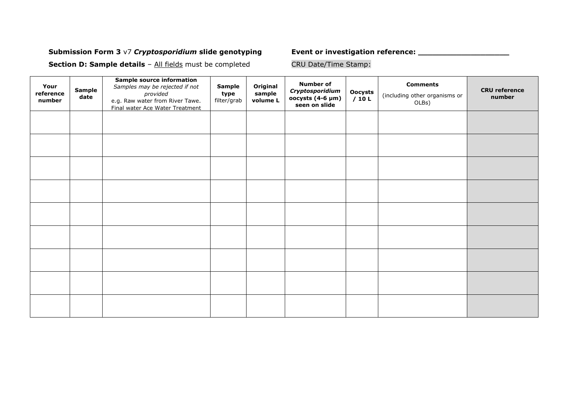#### **Submission Form 3** v7 *Cryptosporidium* **slide genotyping Event or investigation reference: \_\_\_\_\_\_\_\_\_\_\_\_\_\_\_\_\_\_\_**

**Section D: Sample details** – All fields must be completed

| Your<br>reference<br>number | <b>Sample</b><br>date | <b>Sample source information</b><br>Samples may be rejected if not<br>provided<br>e.g. Raw water from River Tawe.<br>Final water Ace Water Treatment | <b>Sample</b><br>type<br>filter/grab | Original<br>sample<br>volume L | <b>Number of</b><br>Cryptosporidium<br>oocysts (4-6 µm)<br>seen on slide | Oocysts<br>/10 L | <b>Comments</b><br>(including other organisms or<br>OLBs) | <b>CRU</b> reference<br>number |
|-----------------------------|-----------------------|------------------------------------------------------------------------------------------------------------------------------------------------------|--------------------------------------|--------------------------------|--------------------------------------------------------------------------|------------------|-----------------------------------------------------------|--------------------------------|
|                             |                       |                                                                                                                                                      |                                      |                                |                                                                          |                  |                                                           |                                |
|                             |                       |                                                                                                                                                      |                                      |                                |                                                                          |                  |                                                           |                                |
|                             |                       |                                                                                                                                                      |                                      |                                |                                                                          |                  |                                                           |                                |
|                             |                       |                                                                                                                                                      |                                      |                                |                                                                          |                  |                                                           |                                |
|                             |                       |                                                                                                                                                      |                                      |                                |                                                                          |                  |                                                           |                                |
|                             |                       |                                                                                                                                                      |                                      |                                |                                                                          |                  |                                                           |                                |
|                             |                       |                                                                                                                                                      |                                      |                                |                                                                          |                  |                                                           |                                |
|                             |                       |                                                                                                                                                      |                                      |                                |                                                                          |                  |                                                           |                                |
|                             |                       |                                                                                                                                                      |                                      |                                |                                                                          |                  |                                                           |                                |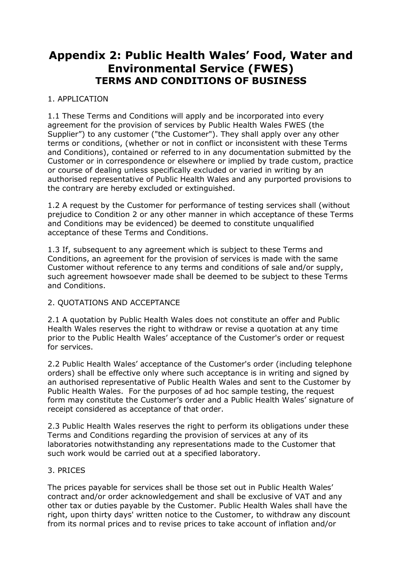### <span id="page-8-0"></span>**Appendix 2: Public Health Wales' Food, Water and Environmental Service (FWES) TERMS AND CONDITIONS OF BUSINESS**

#### 1. APPLICATION

1.1 These Terms and Conditions will apply and be incorporated into every agreement for the provision of services by Public Health Wales FWES (the Supplier") to any customer ("the Customer"). They shall apply over any other terms or conditions, (whether or not in conflict or inconsistent with these Terms and Conditions), contained or referred to in any documentation submitted by the Customer or in correspondence or elsewhere or implied by trade custom, practice or course of dealing unless specifically excluded or varied in writing by an authorised representative of Public Health Wales and any purported provisions to the contrary are hereby excluded or extinguished.

1.2 A request by the Customer for performance of testing services shall (without prejudice to Condition 2 or any other manner in which acceptance of these Terms and Conditions may be evidenced) be deemed to constitute unqualified acceptance of these Terms and Conditions.

1.3 If, subsequent to any agreement which is subject to these Terms and Conditions, an agreement for the provision of services is made with the same Customer without reference to any terms and conditions of sale and/or supply, such agreement howsoever made shall be deemed to be subject to these Terms and Conditions.

#### 2. QUOTATIONS AND ACCEPTANCE

2.1 A quotation by Public Health Wales does not constitute an offer and Public Health Wales reserves the right to withdraw or revise a quotation at any time prior to the Public Health Wales' acceptance of the Customer's order or request for services.

2.2 Public Health Wales' acceptance of the Customer's order (including telephone orders) shall be effective only where such acceptance is in writing and signed by an authorised representative of Public Health Wales and sent to the Customer by Public Health Wales. For the purposes of ad hoc sample testing, the request form may constitute the Customer's order and a Public Health Wales' signature of receipt considered as acceptance of that order.

2.3 Public Health Wales reserves the right to perform its obligations under these Terms and Conditions regarding the provision of services at any of its laboratories notwithstanding any representations made to the Customer that such work would be carried out at a specified laboratory.

#### 3. PRICES

The prices payable for services shall be those set out in Public Health Wales' contract and/or order acknowledgement and shall be exclusive of VAT and any other tax or duties payable by the Customer. Public Health Wales shall have the right, upon thirty days' written notice to the Customer, to withdraw any discount from its normal prices and to revise prices to take account of inflation and/or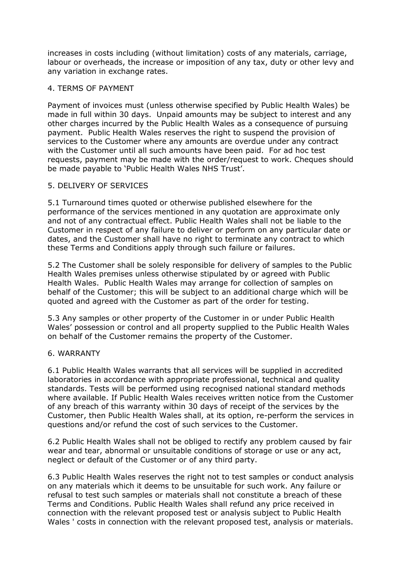increases in costs including (without limitation) costs of any materials, carriage, labour or overheads, the increase or imposition of any tax, duty or other levy and any variation in exchange rates.

#### 4. TERMS OF PAYMENT

Payment of invoices must (unless otherwise specified by Public Health Wales) be made in full within 30 days. Unpaid amounts may be subject to interest and any other charges incurred by the Public Health Wales as a consequence of pursuing payment. Public Health Wales reserves the right to suspend the provision of services to the Customer where any amounts are overdue under any contract with the Customer until all such amounts have been paid. For ad hoc test requests, payment may be made with the order/request to work. Cheques should be made payable to 'Public Health Wales NHS Trust'.

#### 5. DELIVERY OF SERVICES

5.1 Turnaround times quoted or otherwise published elsewhere for the performance of the services mentioned in any quotation are approximate only and not of any contractual effect. Public Health Wales shall not be liable to the Customer in respect of any failure to deliver or perform on any particular date or dates, and the Customer shall have no right to terminate any contract to which these Terms and Conditions apply through such failure or failures.

5.2 The Customer shall be solely responsible for delivery of samples to the Public Health Wales premises unless otherwise stipulated by or agreed with Public Health Wales. Public Health Wales may arrange for collection of samples on behalf of the Customer; this will be subject to an additional charge which will be quoted and agreed with the Customer as part of the order for testing.

5.3 Any samples or other property of the Customer in or under Public Health Wales' possession or control and all property supplied to the Public Health Wales on behalf of the Customer remains the property of the Customer.

#### 6. WARRANTY

6.1 Public Health Wales warrants that all services will be supplied in accredited laboratories in accordance with appropriate professional, technical and quality standards. Tests will be performed using recognised national standard methods where available. If Public Health Wales receives written notice from the Customer of any breach of this warranty within 30 days of receipt of the services by the Customer, then Public Health Wales shall, at its option, re-perform the services in questions and/or refund the cost of such services to the Customer.

6.2 Public Health Wales shall not be obliged to rectify any problem caused by fair wear and tear, abnormal or unsuitable conditions of storage or use or any act, neglect or default of the Customer or of any third party.

6.3 Public Health Wales reserves the right not to test samples or conduct analysis on any materials which it deems to be unsuitable for such work. Any failure or refusal to test such samples or materials shall not constitute a breach of these Terms and Conditions. Public Health Wales shall refund any price received in connection with the relevant proposed test or analysis subject to Public Health Wales ' costs in connection with the relevant proposed test, analysis or materials.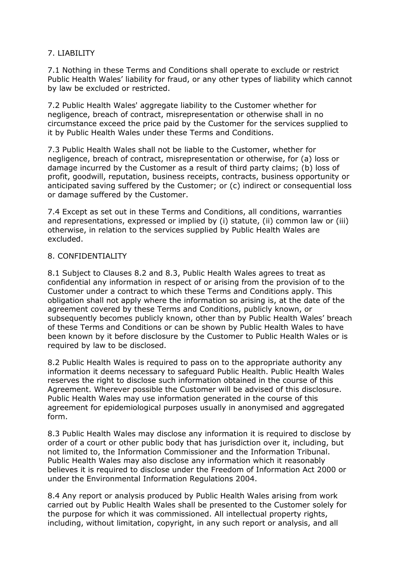#### 7. LIABILITY

7.1 Nothing in these Terms and Conditions shall operate to exclude or restrict Public Health Wales' liability for fraud, or any other types of liability which cannot by law be excluded or restricted.

7.2 Public Health Wales' aggregate liability to the Customer whether for negligence, breach of contract, misrepresentation or otherwise shall in no circumstance exceed the price paid by the Customer for the services supplied to it by Public Health Wales under these Terms and Conditions.

7.3 Public Health Wales shall not be liable to the Customer, whether for negligence, breach of contract, misrepresentation or otherwise, for (a) loss or damage incurred by the Customer as a result of third party claims; (b) loss of profit, goodwill, reputation, business receipts, contracts, business opportunity or anticipated saving suffered by the Customer; or (c) indirect or consequential loss or damage suffered by the Customer.

7.4 Except as set out in these Terms and Conditions, all conditions, warranties and representations, expressed or implied by (i) statute, (ii) common law or (iii) otherwise, in relation to the services supplied by Public Health Wales are excluded.

#### 8. CONFIDENTIALITY

8.1 Subject to Clauses 8.2 and 8.3, Public Health Wales agrees to treat as confidential any information in respect of or arising from the provision of to the Customer under a contract to which these Terms and Conditions apply. This obligation shall not apply where the information so arising is, at the date of the agreement covered by these Terms and Conditions, publicly known, or subsequently becomes publicly known, other than by Public Health Wales' breach of these Terms and Conditions or can be shown by Public Health Wales to have been known by it before disclosure by the Customer to Public Health Wales or is required by law to be disclosed.

8.2 Public Health Wales is required to pass on to the appropriate authority any information it deems necessary to safeguard Public Health. Public Health Wales reserves the right to disclose such information obtained in the course of this Agreement. Wherever possible the Customer will be advised of this disclosure. Public Health Wales may use information generated in the course of this agreement for epidemiological purposes usually in anonymised and aggregated form.

8.3 Public Health Wales may disclose any information it is required to disclose by order of a court or other public body that has jurisdiction over it, including, but not limited to, the Information Commissioner and the Information Tribunal. Public Health Wales may also disclose any information which it reasonably believes it is required to disclose under the Freedom of Information Act 2000 or under the Environmental Information Regulations 2004.

8.4 Any report or analysis produced by Public Health Wales arising from work carried out by Public Health Wales shall be presented to the Customer solely for the purpose for which it was commissioned. All intellectual property rights, including, without limitation, copyright, in any such report or analysis, and all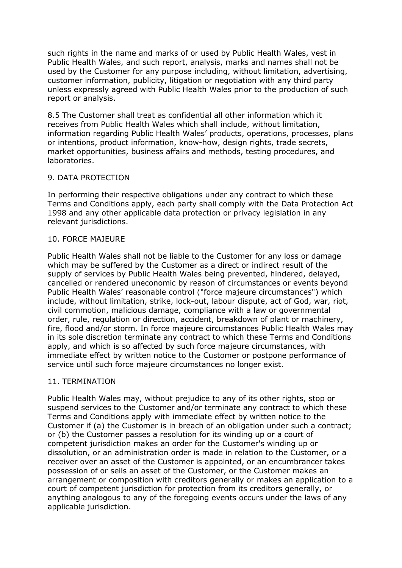such rights in the name and marks of or used by Public Health Wales, vest in Public Health Wales, and such report, analysis, marks and names shall not be used by the Customer for any purpose including, without limitation, advertising, customer information, publicity, litigation or negotiation with any third party unless expressly agreed with Public Health Wales prior to the production of such report or analysis.

8.5 The Customer shall treat as confidential all other information which it receives from Public Health Wales which shall include, without limitation, information regarding Public Health Wales' products, operations, processes, plans or intentions, product information, know-how, design rights, trade secrets, market opportunities, business affairs and methods, testing procedures, and laboratories.

#### 9. DATA PROTECTION

In performing their respective obligations under any contract to which these Terms and Conditions apply, each party shall comply with the Data Protection Act 1998 and any other applicable data protection or privacy legislation in any relevant jurisdictions.

#### 10. FORCE MAJEURE

Public Health Wales shall not be liable to the Customer for any loss or damage which may be suffered by the Customer as a direct or indirect result of the supply of services by Public Health Wales being prevented, hindered, delayed, cancelled or rendered uneconomic by reason of circumstances or events beyond Public Health Wales' reasonable control ("force majeure circumstances") which include, without limitation, strike, lock-out, labour dispute, act of God, war, riot, civil commotion, malicious damage, compliance with a law or governmental order, rule, regulation or direction, accident, breakdown of plant or machinery, fire, flood and/or storm. In force majeure circumstances Public Health Wales may in its sole discretion terminate any contract to which these Terms and Conditions apply, and which is so affected by such force majeure circumstances, with immediate effect by written notice to the Customer or postpone performance of service until such force majeure circumstances no longer exist.

#### 11. TERMINATION

Public Health Wales may, without prejudice to any of its other rights, stop or suspend services to the Customer and/or terminate any contract to which these Terms and Conditions apply with immediate effect by written notice to the Customer if (a) the Customer is in breach of an obligation under such a contract; or (b) the Customer passes a resolution for its winding up or a court of competent jurisdiction makes an order for the Customer's winding up or dissolution, or an administration order is made in relation to the Customer, or a receiver over an asset of the Customer is appointed, or an encumbrancer takes possession of or sells an asset of the Customer, or the Customer makes an arrangement or composition with creditors generally or makes an application to a court of competent jurisdiction for protection from its creditors generally, or anything analogous to any of the foregoing events occurs under the laws of any applicable jurisdiction.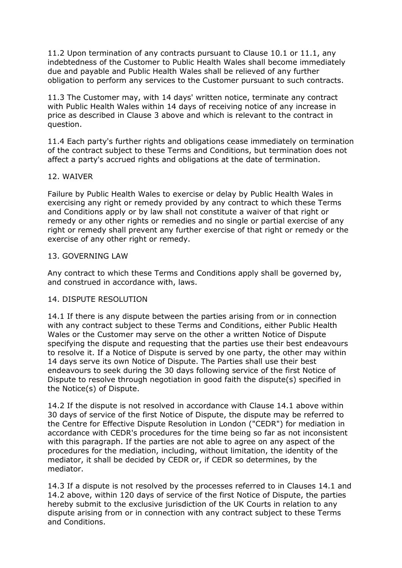11.2 Upon termination of any contracts pursuant to Clause 10.1 or 11.1, any indebtedness of the Customer to Public Health Wales shall become immediately due and payable and Public Health Wales shall be relieved of any further obligation to perform any services to the Customer pursuant to such contracts.

11.3 The Customer may, with 14 days' written notice, terminate any contract with Public Health Wales within 14 days of receiving notice of any increase in price as described in Clause 3 above and which is relevant to the contract in question.

11.4 Each party's further rights and obligations cease immediately on termination of the contract subject to these Terms and Conditions, but termination does not affect a party's accrued rights and obligations at the date of termination.

#### 12. WAIVER

Failure by Public Health Wales to exercise or delay by Public Health Wales in exercising any right or remedy provided by any contract to which these Terms and Conditions apply or by law shall not constitute a waiver of that right or remedy or any other rights or remedies and no single or partial exercise of any right or remedy shall prevent any further exercise of that right or remedy or the exercise of any other right or remedy.

#### 13. GOVERNING LAW

Any contract to which these Terms and Conditions apply shall be governed by, and construed in accordance with, laws.

#### 14. DISPUTE RESOLUTION

14.1 If there is any dispute between the parties arising from or in connection with any contract subject to these Terms and Conditions, either Public Health Wales or the Customer may serve on the other a written Notice of Dispute specifying the dispute and requesting that the parties use their best endeavours to resolve it. If a Notice of Dispute is served by one party, the other may within 14 days serve its own Notice of Dispute. The Parties shall use their best endeavours to seek during the 30 days following service of the first Notice of Dispute to resolve through negotiation in good faith the dispute(s) specified in the Notice(s) of Dispute.

14.2 If the dispute is not resolved in accordance with Clause 14.1 above within 30 days of service of the first Notice of Dispute, the dispute may be referred to the Centre for Effective Dispute Resolution in London ("CEDR") for mediation in accordance with CEDR's procedures for the time being so far as not inconsistent with this paragraph. If the parties are not able to agree on any aspect of the procedures for the mediation, including, without limitation, the identity of the mediator, it shall be decided by CEDR or, if CEDR so determines, by the mediator.

14.3 If a dispute is not resolved by the processes referred to in Clauses 14.1 and 14.2 above, within 120 days of service of the first Notice of Dispute, the parties hereby submit to the exclusive jurisdiction of the UK Courts in relation to any dispute arising from or in connection with any contract subject to these Terms and Conditions.